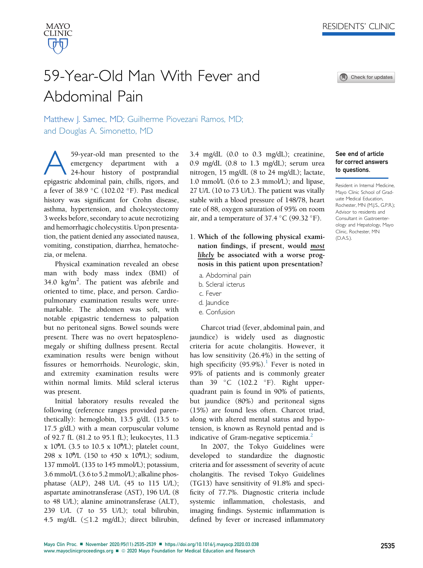Check for updates



# 59-Year-Old Man With Fever and Abdominal Pain

Matthew J. Samec, MD; Guilherme Piovezani Ramos, MD; and Douglas A. Simonetto, MD

59-year-old man presented to the<br>emergency department with a<br>24-hour history of postprandial<br>epigastric abdominal pain chills rigors and emergency department with a 24-hour history of postprandial epigastric abdominal pain, chills, rigors, and a fever of 38.9 °C (102.02 °F). Past medical history was significant for Crohn disease, asthma, hypertension, and cholecystectomy 3 weeks before, secondary to acute necrotizing and hemorrhagic cholecystitis. Upon presentation, the patient denied any associated nausea, vomiting, constipation, diarrhea, hematochezia, or melena.

Physical examination revealed an obese man with body mass index (BMI) of 34.0 kg/m<sup>2</sup>. The patient was afebrile and oriented to time, place, and person. Cardiopulmonary examination results were unremarkable. The abdomen was soft, with notable epigastric tenderness to palpation but no peritoneal signs. Bowel sounds were present. There was no overt hepatosplenomegaly or shifting dullness present. Rectal examination results were benign without fissures or hemorrhoids. Neurologic, skin, and extremity examination results were within normal limits. Mild scleral icterus was present.

Initial laboratory results revealed the following (reference ranges provided parenthetically): hemoglobin, 13.5 g/dL (13.5 to 17.5 g/dL) with a mean corpuscular volume of 92.7 fL (81.2 to 95.1 fL); leukocytes, 11.3 x 10 $^9$ /L (3.5 to 10.5 x 10 $^9$ /L); platelet count, 298 x 10 $^9$ /L (150 to 450 x 10 $^9$ /L); sodium, 137 mmol/L (135 to 145 mmol/L); potassium, 3.6 mmol/L (3.6 to 5.2 mmol/L); alkaline phosphatase (ALP), 248 U/L (45 to 115 U/L); aspartate aminotransferase (AST), 196 U/L (8 to 48 U/L); alanine aminotransferase (ALT), 239 U/L (7 to 55 U/L); total bilirubin, 4.5 mg/dL  $(\leq1.2 \text{ mg/dL})$ ; direct bilirubin,

3.4 mg/dL (0.0 to 0.3 mg/dL); creatinine, 0.9 mg/dL (0.8 to 1.3 mg/dL); serum urea nitrogen, 15 mg/dL (8 to 24 mg/dL); lactate, 1.0 mmol/L (0.6 to 2.3 mmol/L); and lipase, 27 U/L (10 to 73 U/L). The patient was vitally stable with a blood pressure of 148/78, heart rate of 88, oxygen saturation of 95% on room air, and a temperature of  $37.4 \degree C$  (99.32  $\degree F$ ).

- 1. Which of the following physical examination findings, if present, would most likely be associated with a worse prognosis in this patient upon presentation?
	- a. Abdominal pain
	- b. Scleral icterus
	- c. Fever
	- d. Jaundice
	- e. Confusion

Charcot triad (fever, abdominal pain, and jaundice) is widely used as diagnostic criteria for acute cholangitis. However, it has low sensitivity (26.4%) in the setting of high specificity  $(95.9\%)$ .<sup>[1](#page-4-0)</sup> Fever is noted in 95% of patients and is commonly greater than 39  $\degree$ C (102.2  $\degree$ F). Right upperquadrant pain is found in 90% of patients, but jaundice (80%) and peritoneal signs (15%) are found less often. Charcot triad, along with altered mental status and hypotension, is known as Reynold pentad and is indicative of Gram-negative septicemia.<sup>[2](#page-4-1)</sup>

In 2007, the Tokyo Guidelines were developed to standardize the diagnostic criteria and for assessment of severity of acute cholangitis. The revised Tokyo Guidelines (TG13) have sensitivity of 91.8% and specificity of 77.7%. Diagnostic criteria include systemic inflammation, cholestasis, and imaging findings. Systemic inflammation is defined by fever or increased inflammatory

# See end of article for correct answers to questions.

Resident in Internal Medicine, Mayo Clinic School of Graduate Medical Education, Rochester, MN (M.J.S., G.P.R.); Advisor to residents and Consultant in Gastroenterology and Hepatology, Mayo Clinic, Rochester, MN (D.A.S.).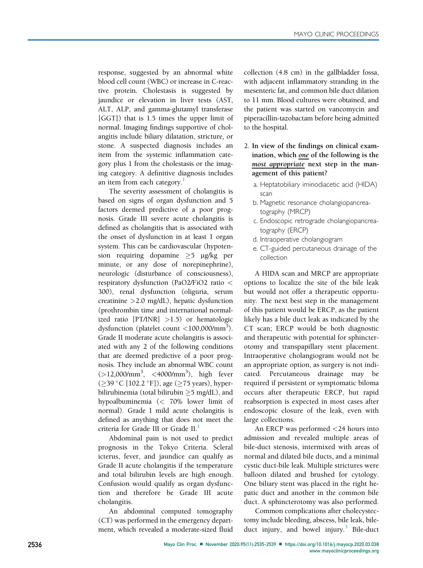response, suggested by an abnormal white blood cell count (WBC) or increase in C-reactive protein. Cholestasis is suggested by jaundice or elevation in liver tests (AST, ALT, ALP, and gamma-glutamyl transferase [GGT]) that is 1.5 times the upper limit of normal. Imaging findings supportive of cholangitis include biliary dilatation, stricture, or stone. A suspected diagnosis includes an item from the systemic inflammation category plus 1 from the cholestasis or the imaging category. A definitive diagnosis includes an item from each category.<sup>1</sup>

The severity assessment of cholangitis is based on signs of organ dysfunction and 5 factors deemed predictive of a poor prognosis. Grade III severe acute cholangitis is defined as cholangitis that is associated with the onset of dysfunction in at least 1 organ system. This can be cardiovascular (hypotension requiring dopamine  $\geq$ 5  $\mu$ g/kg per minute, or any dose of norepinephrine), neurologic (disturbance of consciousness), respiratory dysfunction (PaO2/FiO2 ratio < 300), renal dysfunction (oliguria, serum creatinine >2.0 mg/dL), hepatic dysfunction (prothrombin time and international normalized ratio [PT/INR] >1.5) or hematologic dysfunction (platelet count <100,000/mm3). Grade II moderate acute cholangitis is associated with any 2 of the following conditions that are deemed predictive of a poor prognosis. They include an abnormal WBC count  $(>12,000/\text{mm}^3, < 4000/\text{mm}^3)$ , high fever (≥39 °C [102.2 °F]), age (≥75 years), hyperbilirubinemia (total bilirubin  $\geq$ 5 mg/dL), and hypoalbuminemia (< 70% lower limit of normal). Grade I mild acute cholangitis is defined as anything that does not meet the criteria for Grade III or Grade II.<sup>[1](#page-4-0)</sup>

Abdominal pain is not used to predict prognosis in the Tokyo Criteria. Scleral icterus, fever, and jaundice can qualify as Grade II acute cholangitis if the temperature and total bilirubin levels are high enough. Confusion would qualify as organ dysfunction and therefore be Grade III acute cholangitis.

An abdominal computed tomography (CT) was performed in the emergency department, which revealed a moderate-sized fluid

collection (4.8 cm) in the gallbladder fossa, with adjacent inflammatory stranding in the mesenteric fat, and common bile duct dilation to 11 mm. Blood cultures were obtained, and the patient was started on vancomycin and piperacillin-tazobactam before being admitted to the hospital.

- 2. In view of the findings on clinical examination, which one of the following is the most appropriate next step in the management of this patient?
	- a. Heptatobiliary iminodiacetic acid (HIDA) scan
	- b. Magnetic resonance cholangiopancreatography (MRCP)
	- c. Endoscopic retrograde cholangiopancreatography (ERCP)
	- d. Intraoperative cholangiogram
	- e. CT-guided percutaneous drainage of the collection

A HIDA scan and MRCP are appropriate options to localize the site of the bile leak but would not offer a therapeutic opportunity. The next best step in the management of this patient would be ERCP, as the patient likely has a bile duct leak as indicated by the CT scan; ERCP would be both diagnostic and therapeutic with potential for sphincterotomy and transpapillary stent placement. Intraoperative cholangiogram would not be an appropriate option, as surgery is not indicated. Percutaneous drainage may be required if persistent or symptomatic biloma occurs after therapeutic ERCP, but rapid reabsorption is expected in most cases after endoscopic closure of the leak, even with large collections.

An ERCP was performed <24 hours into admission and revealed multiple areas of bile-duct stenosis, intermixed with areas of normal and dilated bile ducts, and a minimal cystic duct-bile leak. Multiple strictures were balloon dilated and brushed for cytology. One biliary stent was placed in the right hepatic duct and another in the common bile duct. A sphincterotomy was also performed.

Common complications after cholecystectomy include bleeding, abscess, bile leak, bile-duct injury, and bowel injury.<sup>[3](#page-4-2)</sup> Bile-duct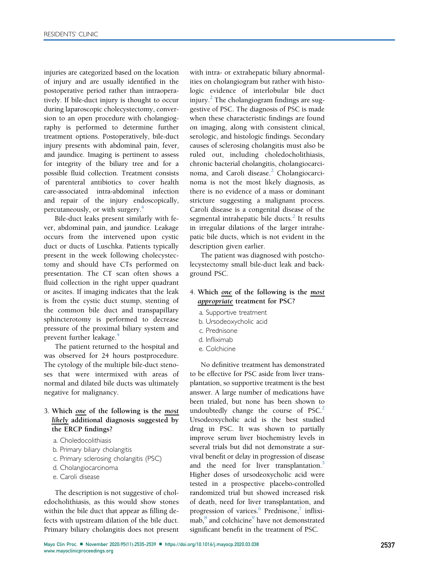injuries are categorized based on the location of injury and are usually identified in the postoperative period rather than intraoperatively. If bile-duct injury is thought to occur during laparoscopic cholecystectomy, conversion to an open procedure with cholangiography is performed to determine further treatment options. Postoperatively, bile-duct injury presents with abdominal pain, fever, and jaundice. Imaging is pertinent to assess for integrity of the biliary tree and for a possible fluid collection. Treatment consists of parenteral antibiotics to cover health care-associated intra-abdominal infection and repair of the injury endoscopically, percutaneously, or with surgery[.4](#page-4-3)

Bile-duct leaks present similarly with fever, abdominal pain, and jaundice. Leakage occurs from the intervened upon cystic duct or ducts of Luschka. Patients typically present in the week following cholecystectomy and should have CTs performed on presentation. The CT scan often shows a fluid collection in the right upper quadrant or ascites. If imaging indicates that the leak is from the cystic duct stump, stenting of the common bile duct and transpapillary sphincterotomy is performed to decrease pressure of the proximal biliary system and prevent further leakage.<sup>[4](#page-4-3)</sup>

The patient returned to the hospital and was observed for 24 hours postprocedure. The cytology of the multiple bile-duct stenoses that were intermixed with areas of normal and dilated bile ducts was ultimately negative for malignancy.

## 3. Which one of the following is the most likely additional diagnosis suggested by the ERCP findings?

- a. Choledocolithiasis
- b. Primary biliary cholangitis
- c. Primary sclerosing cholangitis (PSC)
- d. Cholangiocarcinoma
- e. Caroli disease

The description is not suggestive of choledocholithiasis, as this would show stones within the bile duct that appear as filling defects with upstream dilation of the bile duct. Primary biliary cholangitis does not present

with intra- or extrahepatic biliary abnormalities on cholangiogram but rather with histologic evidence of interlobular bile duct injury.<sup>[2](#page-4-1)</sup> The cholangiogram findings are suggestive of PSC. The diagnosis of PSC is made when these characteristic findings are found on imaging, along with consistent clinical, serologic, and histologic findings. Secondary causes of sclerosing cholangitis must also be ruled out, including choledocholithiasis, chronic bacterial cholangitis, cholangiocarci-noma, and Caroli disease.<sup>[2](#page-4-1)</sup> Cholangiocarcinoma is not the most likely diagnosis, as there is no evidence of a mass or dominant stricture suggesting a malignant process. Caroli disease is a congenital disease of the segmental intrahepatic bile ducts. $<sup>2</sup>$  $<sup>2</sup>$  $<sup>2</sup>$  It results</sup> in irregular dilations of the larger intrahepatic bile ducts, which is not evident in the description given earlier.

The patient was diagnosed with postcholecystectomy small bile-duct leak and background PSC.

## 4. Which one of the following is the most appropriate treatment for PSC?

- a. Supportive treatment
- b. Ursodeoxycholic acid
- c. Prednisone
- d. Infliximab
- e. Colchicine

No definitive treatment has demonstrated to be effective for PSC aside from liver transplantation, so supportive treatment is the best answer. A large number of medications have been trialed, but none has been shown to undoubtedly change the course of  $PSC<sup>2</sup>$  $PSC<sup>2</sup>$  $PSC<sup>2</sup>$ Ursodeoxycholic acid is the best studied drug in PSC. It was shown to partially improve serum liver biochemistry levels in several trials but did not demonstrate a survival benefit or delay in progression of disease and the need for liver transplantation.<sup>[5](#page-4-4)</sup> Higher doses of ursodeoxycholic acid were tested in a prospective placebo-controlled randomized trial but showed increased risk of death, need for liver transplantation, and progression of varices. $\frac{6}{5}$  $\frac{6}{5}$  $\frac{6}{5}$  Prednisone,<sup>7</sup> infliximab,<sup>8</sup> and colchicine<sup>9</sup> have not demonstrated significant benefit in the treatment of PSC.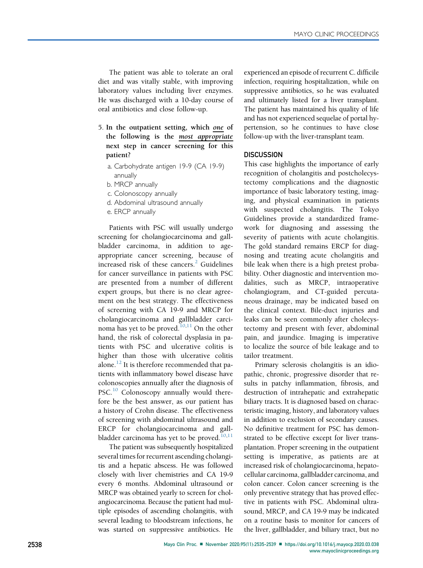The patient was able to tolerate an oral diet and was vitally stable, with improving laboratory values including liver enzymes. He was discharged with a 10-day course of oral antibiotics and close follow-up.

- 5. In the outpatient setting, which one of the following is the most appropriate next step in cancer screening for this patient?
	- a. Carbohydrate antigen 19-9 (CA 19-9) annually
	- b. MRCP annually
	- c. Colonoscopy annually
	- d. Abdominal ultrasound annually
	- e. ERCP annually

Patients with PSC will usually undergo screening for cholangiocarcinoma and gallbladder carcinoma, in addition to ageappropriate cancer screening, because of increased risk of these cancers. $2$  Guidelines for cancer surveillance in patients with PSC are presented from a number of different expert groups, but there is no clear agreement on the best strategy. The effectiveness of screening with CA 19-9 and MRCP for cholangiocarcinoma and gallbladder carci-noma has yet to be proved.<sup>[10](#page-4-9)[,11](#page-4-10)</sup> On the other hand, the risk of colorectal dysplasia in patients with PSC and ulcerative colitis is higher than those with ulcerative colitis alone. $^{12}$  $^{12}$  $^{12}$  It is therefore recommended that patients with inflammatory bowel disease have colonoscopies annually after the diagnosis of PSC.<sup>[10](#page-4-9)</sup> Colonoscopy annually would therefore be the best answer, as our patient has a history of Crohn disease. The effectiveness of screening with abdominal ultrasound and ERCP for cholangiocarcinoma and gallbladder carcinoma has yet to be proved. $10,11$  $10,11$ 

The patient was subsequently hospitalized several times for recurrent ascending cholangitis and a hepatic abscess. He was followed closely with liver chemistries and CA 19-9 every 6 months. Abdominal ultrasound or MRCP was obtained yearly to screen for cholangiocarcinoma. Because the patient had multiple episodes of ascending cholangitis, with several leading to bloodstream infections, he was started on suppressive antibiotics. He experienced an episode of recurrent C. difficile infection, requiring hospitalization, while on suppressive antibiotics, so he was evaluated and ultimately listed for a liver transplant. The patient has maintained his quality of life and has not experienced sequelae of portal hypertension, so he continues to have close follow-up with the liver-transplant team.

### **DISCUSSION**

This case highlights the importance of early recognition of cholangitis and postcholecystectomy complications and the diagnostic importance of basic laboratory testing, imaging, and physical examination in patients with suspected cholangitis. The Tokyo Guidelines provide a standardized framework for diagnosing and assessing the severity of patients with acute cholangitis. The gold standard remains ERCP for diagnosing and treating acute cholangitis and bile leak when there is a high pretest probability. Other diagnostic and intervention modalities, such as MRCP, intraoperative cholangiogram, and CT-guided percutaneous drainage, may be indicated based on the clinical context. Bile-duct injuries and leaks can be seen commonly after cholecystectomy and present with fever, abdominal pain, and jaundice. Imaging is imperative to localize the source of bile leakage and to tailor treatment.

Primary sclerosis cholangitis is an idiopathic, chronic, progressive disorder that results in patchy inflammation, fibrosis, and destruction of intrahepatic and extrahepatic biliary tracts. It is diagnosed based on characteristic imaging, history, and laboratory values in addition to exclusion of secondary causes. No definitive treatment for PSC has demonstrated to be effective except for liver transplantation. Proper screening in the outpatient setting is imperative, as patients are at increased risk of cholangiocarcinoma, hepatocellular carcinoma, gallbladder carcinoma, and colon cancer. Colon cancer screening is the only preventive strategy that has proved effective in patients with PSC. Abdominal ultrasound, MRCP, and CA 19-9 may be indicated on a routine basis to monitor for cancers of the liver, gallbladder, and biliary tract, but no